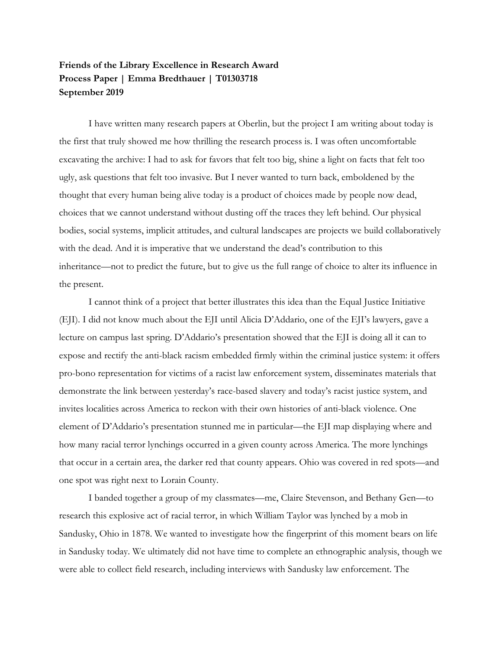## **Friends of the Library Excellence in Research Award Process Paper | Emma Bredthauer | T01303718 September 2019**

I have written many research papers at Oberlin, but the project I am writing about today is the first that truly showed me how thrilling the research process is. I was often uncomfortable excavating the archive: I had to ask for favors that felt too big, shine a light on facts that felt too ugly, ask questions that felt too invasive. But I never wanted to turn back, emboldened by the thought that every human being alive today is a product of choices made by people now dead, choices that we cannot understand without dusting off the traces they left behind. Our physical bodies, social systems, implicit attitudes, and cultural landscapes are projects we build collaboratively with the dead. And it is imperative that we understand the dead's contribution to this inheritance—not to predict the future, but to give us the full range of choice to alter its influence in the present.

I cannot think of a project that better illustrates this idea than the Equal Justice Initiative (EJI). I did not know much about the EJI until Alicia D'Addario, one of the EJI's lawyers, gave a lecture on campus last spring. D'Addario's presentation showed that the EJI is doing all it can to expose and rectify the anti-black racism embedded firmly within the criminal justice system: it offers pro-bono representation for victims of a racist law enforcement system, disseminates materials that demonstrate the link between yesterday's race-based slavery and today's racist justice system, and invites localities across America to reckon with their own histories of anti-black violence. One element of D'Addario's presentation stunned me in particular—the EJI map displaying where and how many racial terror lynchings occurred in a given county across America. The more lynchings that occur in a certain area, the darker red that county appears. Ohio was covered in red spots—and one spot was right next to Lorain County.

I banded together a group of my classmates—me, Claire Stevenson, and Bethany Gen—to research this explosive act of racial terror, in which William Taylor was lynched by a mob in Sandusky, Ohio in 1878. We wanted to investigate how the fingerprint of this moment bears on life in Sandusky today. We ultimately did not have time to complete an ethnographic analysis, though we were able to collect field research, including interviews with Sandusky law enforcement. The